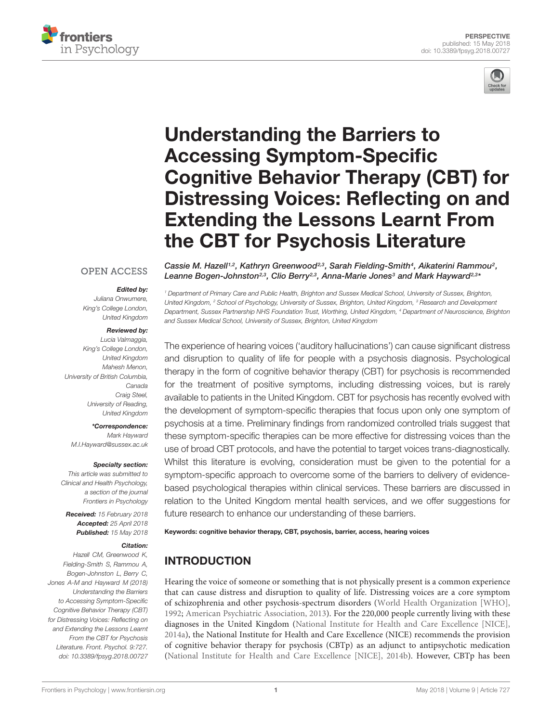



# Understanding the Barriers to Accessing Symptom-Specific Cognitive Behavior Therapy (CBT) for [Distressing Voices: Reflecting on and](https://www.frontiersin.org/articles/10.3389/fpsyg.2018.00727/full) Extending the Lessons Learnt From the CBT for Psychosis Literature

#### **OPEN ACCESS**

#### Edited by:

Juliana Onwumere, King's College London, United Kingdom

#### Reviewed by:

Lucia Valmaggia, King's College London, United Kingdom Mahesh Menon, University of British Columbia, Canada Craig Steel, University of Reading, United Kingdom

\*Correspondence: Mark Hayward M.I.Hayward@sussex.ac.uk

#### Specialty section:

This article was submitted to Clinical and Health Psychology, a section of the journal Frontiers in Psychology

Received: 15 February 2018 Accepted: 25 April 2018 Published: 15 May 2018

#### Citation:

Hazell CM, Greenwood K, Fielding-Smith S, Rammou A, Bogen-Johnston L, Berry C, Jones A-M and Hayward M (2018) Understanding the Barriers to Accessing Symptom-Specific Cognitive Behavior Therapy (CBT) for Distressing Voices: Reflecting on and Extending the Lessons Learnt From the CBT for Psychosis Literature. Front. Psychol. 9:727. doi: [10.3389/fpsyg.2018.00727](https://doi.org/10.3389/fpsyg.2018.00727)

[Cassie M. Hazell](http://loop.frontiersin.org/people/543147/overview)<sup>1,2</sup>, [Kathryn Greenwood](http://loop.frontiersin.org/people/234870/overview)<sup>2,3</sup>, [Sarah Fielding-Smith](http://loop.frontiersin.org/people/178023/overview)<sup>4</sup>, [Aikaterini Rammou](http://loop.frontiersin.org/people/542936/overview)<sup>2</sup>, [Leanne Bogen-Johnston](http://loop.frontiersin.org/people/543288/overview)2,3, [Clio Berry](http://loop.frontiersin.org/people/542926/overview)2,3, [Anna-Marie Jones](http://loop.frontiersin.org/people/558834/overview)<sup>3</sup> and [Mark Hayward](http://loop.frontiersin.org/people/157577/overview)<sup>2,3</sup>\*

<sup>1</sup> Department of Primary Care and Public Health, Brighton and Sussex Medical School, University of Sussex, Brighton, United Kingdom, <sup>2</sup> School of Psychology, University of Sussex, Brighton, United Kingdom, <sup>3</sup> Research and Development Department, Sussex Partnership NHS Foundation Trust, Worthing, United Kingdom, <sup>4</sup> Department of Neuroscience, Brighton and Sussex Medical School, University of Sussex, Brighton, United Kingdom

The experience of hearing voices ('auditory hallucinations') can cause significant distress and disruption to quality of life for people with a psychosis diagnosis. Psychological therapy in the form of cognitive behavior therapy (CBT) for psychosis is recommended for the treatment of positive symptoms, including distressing voices, but is rarely available to patients in the United Kingdom. CBT for psychosis has recently evolved with the development of symptom-specific therapies that focus upon only one symptom of psychosis at a time. Preliminary findings from randomized controlled trials suggest that these symptom-specific therapies can be more effective for distressing voices than the use of broad CBT protocols, and have the potential to target voices trans-diagnostically. Whilst this literature is evolving, consideration must be given to the potential for a symptom-specific approach to overcome some of the barriers to delivery of evidencebased psychological therapies within clinical services. These barriers are discussed in relation to the United Kingdom mental health services, and we offer suggestions for future research to enhance our understanding of these barriers.

Keywords: cognitive behavior therapy, CBT, psychosis, barrier, access, hearing voices

# INTRODUCTION

Hearing the voice of someone or something that is not physically present is a common experience that can cause distress and disruption to quality of life. Distressing voices are a core symptom of schizophrenia and other psychosis-spectrum disorders [\(World Health Organization \[WHO\],](#page-5-0) [1992;](#page-5-0) [American Psychiatric Association,](#page-4-0) [2013\)](#page-4-0). For the 220,000 people currently living with these diagnoses in the United Kingdom [\(National Institute for Health and Care Excellence \[NICE\],](#page-5-1) [2014a\)](#page-5-1), the National Institute for Health and Care Excellence (NICE) recommends the provision of cognitive behavior therapy for psychosis (CBTp) as an adjunct to antipsychotic medication [\(National Institute for Health and Care Excellence \[NICE\],](#page-5-2) [2014b\)](#page-5-2). However, CBTp has been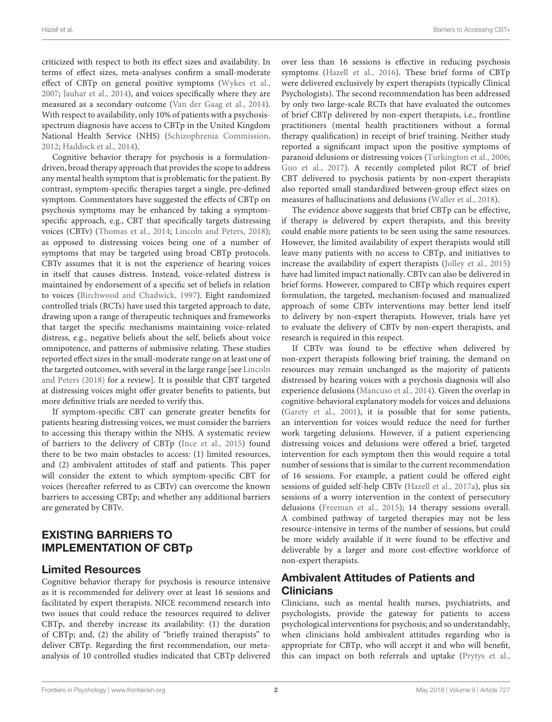criticized with respect to both its effect sizes and availability. In terms of effect sizes, meta-analyses confirm a small-moderate effect of CBTp on general positive symptoms [\(Wykes et al.,](#page-5-3) [2007;](#page-5-3) [Jauhar et al.,](#page-5-4) [2014\)](#page-5-4), and voices specifically where they are measured as a secondary outcome [\(Van der Gaag et al.,](#page-5-5) [2014\)](#page-5-5). With respect to availability, only 10% of patients with a psychosisspectrum diagnosis have access to CBTp in the United Kingdom National Health Service (NHS) [\(Schizophrenia Commission,](#page-5-6) [2012;](#page-5-6) [Haddock et al.,](#page-4-1) [2014\)](#page-4-1).

Cognitive behavior therapy for psychosis is a formulationdriven, broad therapy approach that provides the scope to address any mental health symptom that is problematic for the patient. By contrast, symptom-specific therapies target a single, pre-defined symptom. Commentators have suggested the effects of CBTp on psychosis symptoms may be enhanced by taking a symptomspecific approach, e.g., CBT that specifically targets distressing voices (CBTv) [\(Thomas et al.,](#page-5-7) [2014;](#page-5-7) [Lincoln and Peters,](#page-5-8) [2018\)](#page-5-8); as opposed to distressing voices being one of a number of symptoms that may be targeted using broad CBTp protocols. CBTv assumes that it is not the experience of hearing voices in itself that causes distress. Instead, voice-related distress is maintained by endorsement of a specific set of beliefs in relation to voices [\(Birchwood and Chadwick,](#page-4-2) [1997\)](#page-4-2). Eight randomized controlled trials (RCTs) have used this targeted approach to date, drawing upon a range of therapeutic techniques and frameworks that target the specific mechanisms maintaining voice-related distress, e.g., negative beliefs about the self, beliefs about voice omnipotence, and patterns of submissive relating. These studies reported effect sizes in the small-moderate range on at least one of the targeted outcomes, with several in the large range [see [Lincoln](#page-5-8) [and Peters](#page-5-8) [\(2018\)](#page-5-8) for a review]. It is possible that CBT targeted at distressing voices might offer greater benefits to patients, but more definitive trials are needed to verify this.

If symptom-specific CBT can generate greater benefits for patients hearing distressing voices, we must consider the barriers to accessing this therapy within the NHS. A systematic review of barriers to the delivery of CBTp [\(Ince et al.,](#page-5-9) [2015\)](#page-5-9) found there to be two main obstacles to access: (1) limited resources, and (2) ambivalent attitudes of staff and patients. This paper will consider the extent to which symptom-specific CBT for voices (hereafter referred to as CBTv) can overcome the known barriers to accessing CBTp; and whether any additional barriers are generated by CBTv.

## EXISTING BARRIERS TO IMPLEMENTATION OF CBTp

#### Limited Resources

Cognitive behavior therapy for psychosis is resource intensive as it is recommended for delivery over at least 16 sessions and facilitated by expert therapists. NICE recommend research into two issues that could reduce the resources required to deliver CBTp, and thereby increase its availability: (1) the duration of CBTp; and, (2) the ability of "briefly trained therapists" to deliver CBTp. Regarding the first recommendation, our metaanalysis of 10 controlled studies indicated that CBTp delivered

over less than 16 sessions is effective in reducing psychosis symptoms [\(Hazell et al.,](#page-5-10) [2016\)](#page-5-10). These brief forms of CBTp were delivered exclusively by expert therapists (typically Clinical Psychologists). The second recommendation has been addressed by only two large-scale RCTs that have evaluated the outcomes of brief CBTp delivered by non-expert therapists, i.e., frontline practitioners (mental health practitioners without a formal therapy qualification) in receipt of brief training. Neither study reported a significant impact upon the positive symptoms of paranoid delusions or distressing voices [\(Turkington et al.,](#page-5-11) [2006;](#page-5-11) [Guo et al.,](#page-4-3) [2017\)](#page-4-3). A recently completed pilot RCT of brief CBT delivered to psychosis patients by non-expert therapists also reported small standardized between-group effect sizes on measures of hallucinations and delusions [\(Waller et al.,](#page-5-12) [2018\)](#page-5-12).

The evidence above suggests that brief CBTp can be effective, if therapy is delivered by expert therapists, and this brevity could enable more patients to be seen using the same resources. However, the limited availability of expert therapists would still leave many patients with no access to CBTp, and initiatives to increase the availability of expert therapists [\(Jolley et al.,](#page-5-13) [2015\)](#page-5-13) have had limited impact nationally. CBTv can also be delivered in brief forms. However, compared to CBTp which requires expert formulation, the targeted, mechanism-focused and manualized approach of some CBTv interventions may better lend itself to delivery by non-expert therapists. However, trials have yet to evaluate the delivery of CBTv by non-expert therapists, and research is required in this respect.

If CBTv was found to be effective when delivered by non-expert therapists following brief training, the demand on resources may remain unchanged as the majority of patients distressed by hearing voices with a psychosis diagnosis will also experience delusions [\(Mancuso et al.,](#page-5-14) [2014\)](#page-5-14). Given the overlap in cognitive-behavioral explanatory models for voices and delusions [\(Garety et al.,](#page-4-4) [2001\)](#page-4-4), it is possible that for some patients, an intervention for voices would reduce the need for further work targeting delusions. However, if a patient experiencing distressing voices and delusions were offered a brief, targeted intervention for each symptom then this would require a total number of sessions that is similar to the current recommendation of 16 sessions. For example, a patient could be offered eight sessions of guided self-help CBTv [\(Hazell et al.,](#page-5-15) [2017a\)](#page-5-15), plus six sessions of a worry intervention in the context of persecutory delusions [\(Freeman et al.,](#page-4-5) [2015\)](#page-4-5); 14 therapy sessions overall. A combined pathway of targeted therapies may not be less resource-intensive in terms of the number of sessions, but could be more widely available if it were found to be effective and deliverable by a larger and more cost-effective workforce of non-expert therapists.

## Ambivalent Attitudes of Patients and **Clinicians**

Clinicians, such as mental health nurses, psychiatrists, and psychologists, provide the gateway for patients to access psychological interventions for psychosis; and so understandably, when clinicians hold ambivalent attitudes regarding who is appropriate for CBTp, who will accept it and who will benefit, this can impact on both referrals and uptake [\(Prytys et al.,](#page-5-16)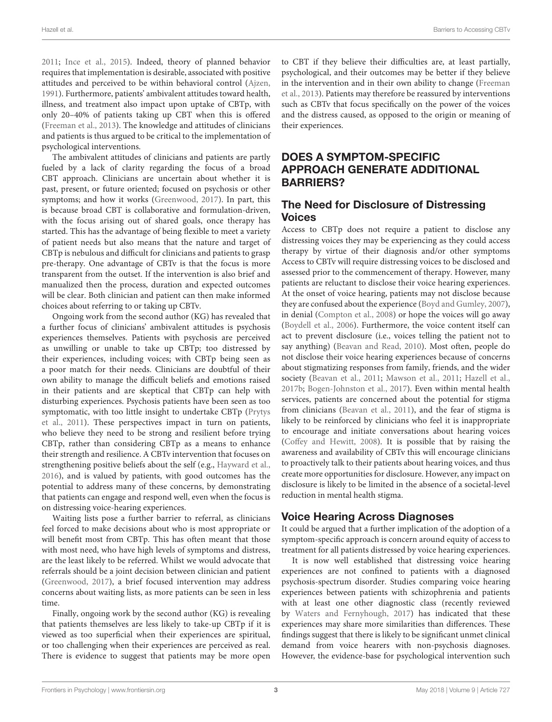[2011;](#page-5-16) [Ince et al.,](#page-5-9) [2015\)](#page-5-9). Indeed, theory of planned behavior requires that implementation is desirable, associated with positive attitudes and perceived to be within behavioral control [\(Ajzen,](#page-4-6) [1991\)](#page-4-6). Furthermore, patients' ambivalent attitudes toward health, illness, and treatment also impact upon uptake of CBTp, with only 20–40% of patients taking up CBT when this is offered [\(Freeman et al.,](#page-4-7) [2013\)](#page-4-7). The knowledge and attitudes of clinicians and patients is thus argued to be critical to the implementation of psychological interventions.

The ambivalent attitudes of clinicians and patients are partly fueled by a lack of clarity regarding the focus of a broad CBT approach. Clinicians are uncertain about whether it is past, present, or future oriented; focused on psychosis or other symptoms; and how it works [\(Greenwood,](#page-4-8) [2017\)](#page-4-8). In part, this is because broad CBT is collaborative and formulation-driven, with the focus arising out of shared goals, once therapy has started. This has the advantage of being flexible to meet a variety of patient needs but also means that the nature and target of CBTp is nebulous and difficult for clinicians and patients to grasp pre-therapy. One advantage of CBTv is that the focus is more transparent from the outset. If the intervention is also brief and manualized then the process, duration and expected outcomes will be clear. Both clinician and patient can then make informed choices about referring to or taking up CBTv.

Ongoing work from the second author (KG) has revealed that a further focus of clinicians' ambivalent attitudes is psychosis experiences themselves. Patients with psychosis are perceived as unwilling or unable to take up CBTp; too distressed by their experiences, including voices; with CBTp being seen as a poor match for their needs. Clinicians are doubtful of their own ability to manage the difficult beliefs and emotions raised in their patients and are skeptical that CBTp can help with disturbing experiences. Psychosis patients have been seen as too symptomatic, with too little insight to undertake CBTp [\(Prytys](#page-5-16) [et al.,](#page-5-16) [2011\)](#page-5-16). These perspectives impact in turn on patients, who believe they need to be strong and resilient before trying CBTp, rather than considering CBTp as a means to enhance their strength and resilience. A CBTv intervention that focuses on strengthening positive beliefs about the self (e.g., [Hayward et al.,](#page-4-9) [2016\)](#page-4-9), and is valued by patients, with good outcomes has the potential to address many of these concerns, by demonstrating that patients can engage and respond well, even when the focus is on distressing voice-hearing experiences.

Waiting lists pose a further barrier to referral, as clinicians feel forced to make decisions about who is most appropriate or will benefit most from CBTp. This has often meant that those with most need, who have high levels of symptoms and distress, are the least likely to be referred. Whilst we would advocate that referrals should be a joint decision between clinician and patient [\(Greenwood,](#page-4-8) [2017\)](#page-4-8), a brief focused intervention may address concerns about waiting lists, as more patients can be seen in less time.

Finally, ongoing work by the second author (KG) is revealing that patients themselves are less likely to take-up CBTp if it is viewed as too superficial when their experiences are spiritual, or too challenging when their experiences are perceived as real. There is evidence to suggest that patients may be more open

to CBT if they believe their difficulties are, at least partially, psychological, and their outcomes may be better if they believe in the intervention and in their own ability to change [\(Freeman](#page-4-7) [et al.,](#page-4-7) [2013\)](#page-4-7). Patients may therefore be reassured by interventions such as CBTv that focus specifically on the power of the voices and the distress caused, as opposed to the origin or meaning of their experiences.

# DOES A SYMPTOM-SPECIFIC APPROACH GENERATE ADDITIONAL BARRIERS?

# The Need for Disclosure of Distressing Voices

Access to CBTp does not require a patient to disclose any distressing voices they may be experiencing as they could access therapy by virtue of their diagnosis and/or other symptoms Access to CBTv will require distressing voices to be disclosed and assessed prior to the commencement of therapy. However, many patients are reluctant to disclose their voice hearing experiences. At the onset of voice hearing, patients may not disclose because they are confused about the experience [\(Boyd and Gumley,](#page-4-10) [2007\)](#page-4-10), in denial [\(Compton et al.,](#page-4-11) [2008\)](#page-4-11) or hope the voices will go away [\(Boydell et al.,](#page-4-12) [2006\)](#page-4-12). Furthermore, the voice content itself can act to prevent disclosure (i.e., voices telling the patient not to say anything) [\(Beavan and Read,](#page-4-13) [2010\)](#page-4-13). Most often, people do not disclose their voice hearing experiences because of concerns about stigmatizing responses from family, friends, and the wider society [\(Beavan et al.,](#page-4-14) [2011;](#page-4-14) [Mawson et al.,](#page-5-17) [2011;](#page-5-17) [Hazell et al.,](#page-5-18) [2017b;](#page-5-18) [Bogen-Johnston et al.,](#page-4-15) [2017\)](#page-4-15). Even within mental health services, patients are concerned about the potential for stigma from clinicians [\(Beavan et al.,](#page-4-14) [2011\)](#page-4-14), and the fear of stigma is likely to be reinforced by clinicians who feel it is inappropriate to encourage and initiate conversations about hearing voices [\(Coffey and Hewitt,](#page-4-16) [2008\)](#page-4-16). It is possible that by raising the awareness and availability of CBTv this will encourage clinicians to proactively talk to their patients about hearing voices, and thus create more opportunities for disclosure. However, any impact on disclosure is likely to be limited in the absence of a societal-level reduction in mental health stigma.

# Voice Hearing Across Diagnoses

It could be argued that a further implication of the adoption of a symptom-specific approach is concern around equity of access to treatment for all patients distressed by voice hearing experiences.

It is now well established that distressing voice hearing experiences are not confined to patients with a diagnosed psychosis-spectrum disorder. Studies comparing voice hearing experiences between patients with schizophrenia and patients with at least one other diagnostic class (recently reviewed by [Waters and Fernyhough,](#page-5-19) [2017\)](#page-5-19) has indicated that these experiences may share more similarities than differences. These findings suggest that there is likely to be significant unmet clinical demand from voice hearers with non-psychosis diagnoses. However, the evidence-base for psychological intervention such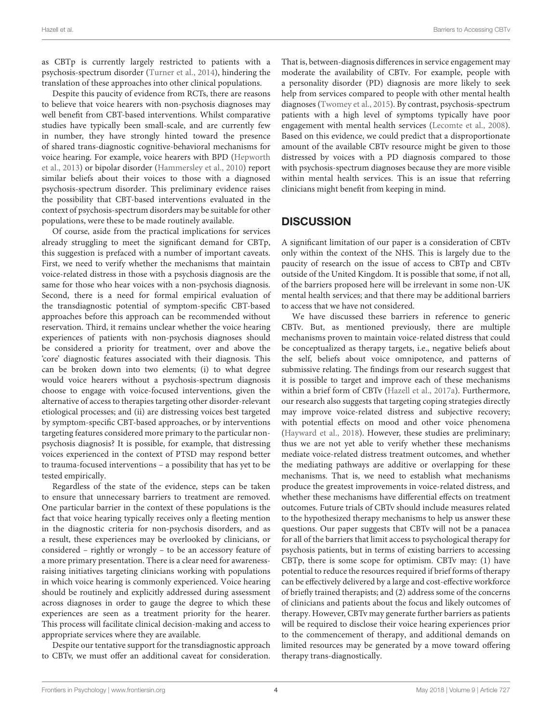as CBTp is currently largely restricted to patients with a psychosis-spectrum disorder [\(Turner et al.,](#page-5-20) [2014\)](#page-5-20), hindering the translation of these approaches into other clinical populations.

Despite this paucity of evidence from RCTs, there are reasons to believe that voice hearers with non-psychosis diagnoses may well benefit from CBT-based interventions. Whilst comparative studies have typically been small-scale, and are currently few in number, they have strongly hinted toward the presence of shared trans-diagnostic cognitive-behavioral mechanisms for voice hearing. For example, voice hearers with BPD [\(Hepworth](#page-5-21) [et al.,](#page-5-21) [2013\)](#page-5-21) or bipolar disorder [\(Hammersley et al.,](#page-4-17) [2010\)](#page-4-17) report similar beliefs about their voices to those with a diagnosed psychosis-spectrum disorder. This preliminary evidence raises the possibility that CBT-based interventions evaluated in the context of psychosis-spectrum disorders may be suitable for other populations, were these to be made routinely available.

Of course, aside from the practical implications for services already struggling to meet the significant demand for CBTp, this suggestion is prefaced with a number of important caveats. First, we need to verify whether the mechanisms that maintain voice-related distress in those with a psychosis diagnosis are the same for those who hear voices with a non-psychosis diagnosis. Second, there is a need for formal empirical evaluation of the transdiagnostic potential of symptom-specific CBT-based approaches before this approach can be recommended without reservation. Third, it remains unclear whether the voice hearing experiences of patients with non-psychosis diagnoses should be considered a priority for treatment, over and above the 'core' diagnostic features associated with their diagnosis. This can be broken down into two elements; (i) to what degree would voice hearers without a psychosis-spectrum diagnosis choose to engage with voice-focused interventions, given the alternative of access to therapies targeting other disorder-relevant etiological processes; and (ii) are distressing voices best targeted by symptom-specific CBT-based approaches, or by interventions targeting features considered more primary to the particular nonpsychosis diagnosis? It is possible, for example, that distressing voices experienced in the context of PTSD may respond better to trauma-focused interventions – a possibility that has yet to be tested empirically.

Regardless of the state of the evidence, steps can be taken to ensure that unnecessary barriers to treatment are removed. One particular barrier in the context of these populations is the fact that voice hearing typically receives only a fleeting mention in the diagnostic criteria for non-psychosis disorders, and as a result, these experiences may be overlooked by clinicians, or considered – rightly or wrongly – to be an accessory feature of a more primary presentation. There is a clear need for awarenessraising initiatives targeting clinicians working with populations in which voice hearing is commonly experienced. Voice hearing should be routinely and explicitly addressed during assessment across diagnoses in order to gauge the degree to which these experiences are seen as a treatment priority for the hearer. This process will facilitate clinical decision-making and access to appropriate services where they are available.

Despite our tentative support for the transdiagnostic approach to CBTv, we must offer an additional caveat for consideration. That is, between-diagnosis differences in service engagement may moderate the availability of CBTv. For example, people with a personality disorder (PD) diagnosis are more likely to seek help from services compared to people with other mental health diagnoses [\(Twomey et al.,](#page-5-22) [2015\)](#page-5-22). By contrast, psychosis-spectrum patients with a high level of symptoms typically have poor engagement with mental health services [\(Lecomte et al.,](#page-5-23) [2008\)](#page-5-23). Based on this evidence, we could predict that a disproportionate amount of the available CBTv resource might be given to those distressed by voices with a PD diagnosis compared to those with psychosis-spectrum diagnoses because they are more visible within mental health services. This is an issue that referring clinicians might benefit from keeping in mind.

### **DISCUSSION**

A significant limitation of our paper is a consideration of CBTv only within the context of the NHS. This is largely due to the paucity of research on the issue of access to CBTp and CBTv outside of the United Kingdom. It is possible that some, if not all, of the barriers proposed here will be irrelevant in some non-UK mental health services; and that there may be additional barriers to access that we have not considered.

We have discussed these barriers in reference to generic CBTv. But, as mentioned previously, there are multiple mechanisms proven to maintain voice-related distress that could be conceptualized as therapy targets, i.e., negative beliefs about the self, beliefs about voice omnipotence, and patterns of submissive relating. The findings from our research suggest that it is possible to target and improve each of these mechanisms within a brief form of CBTv [\(Hazell et al.,](#page-5-15) [2017a\)](#page-5-15). Furthermore, our research also suggests that targeting coping strategies directly may improve voice-related distress and subjective recovery; with potential effects on mood and other voice phenomena [\(Hayward et al.,](#page-4-18) [2018\)](#page-4-18). However, these studies are preliminary; thus we are not yet able to verify whether these mechanisms mediate voice-related distress treatment outcomes, and whether the mediating pathways are additive or overlapping for these mechanisms. That is, we need to establish what mechanisms produce the greatest improvements in voice-related distress, and whether these mechanisms have differential effects on treatment outcomes. Future trials of CBTv should include measures related to the hypothesized therapy mechanisms to help us answer these questions. Our paper suggests that CBTv will not be a panacea for all of the barriers that limit access to psychological therapy for psychosis patients, but in terms of existing barriers to accessing CBTp, there is some scope for optimism. CBTv may: (1) have potential to reduce the resources required if brief forms of therapy can be effectively delivered by a large and cost-effective workforce of briefly trained therapists; and (2) address some of the concerns of clinicians and patients about the focus and likely outcomes of therapy. However, CBTv may generate further barriers as patients will be required to disclose their voice hearing experiences prior to the commencement of therapy, and additional demands on limited resources may be generated by a move toward offering therapy trans-diagnostically.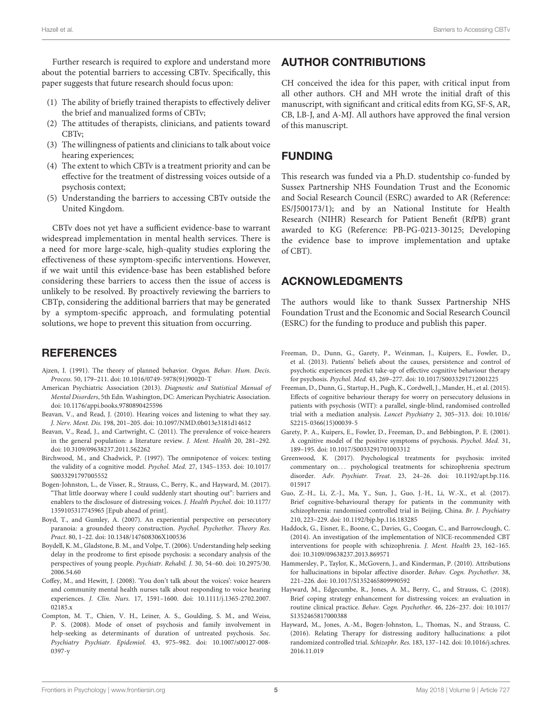Further research is required to explore and understand more about the potential barriers to accessing CBTv. Specifically, this paper suggests that future research should focus upon:

- (1) The ability of briefly trained therapists to effectively deliver the brief and manualized forms of CBTv;
- (2) The attitudes of therapists, clinicians, and patients toward CBTv;
- (3) The willingness of patients and clinicians to talk about voice hearing experiences;
- (4) The extent to which CBTv is a treatment priority and can be effective for the treatment of distressing voices outside of a psychosis context;
- (5) Understanding the barriers to accessing CBTv outside the United Kingdom.

CBTv does not yet have a sufficient evidence-base to warrant widespread implementation in mental health services. There is a need for more large-scale, high-quality studies exploring the effectiveness of these symptom-specific interventions. However, if we wait until this evidence-base has been established before considering these barriers to access then the issue of access is unlikely to be resolved. By proactively reviewing the barriers to CBTp, considering the additional barriers that may be generated by a symptom-specific approach, and formulating potential solutions, we hope to prevent this situation from occurring.

### **REFERENCES**

- <span id="page-4-6"></span>Ajzen, I. (1991). The theory of planned behavior. Organ. Behav. Hum. Decis. Process. 50, 179–211. [doi: 10.1016/0749-5978\(91\)90020-T](https://doi.org/10.1016/0749-5978(91)90020-T)
- <span id="page-4-0"></span>American Psychiatric Association (2013). Diagnostic and Statistical Manual of Mental Disorders, 5th Edn. Washington, DC: American Psychiatric Association. [doi: 10.1176/appi.books.9780890425596](https://doi.org/10.1176/appi.books.9780890425596)
- <span id="page-4-13"></span>Beavan, V., and Read, J. (2010). Hearing voices and listening to what they say. J. Nerv. Ment. Dis. 198, 201–205. [doi: 10.1097/NMD.0b013e3181d14612](https://doi.org/10.1097/NMD.0b013e3181d14612)
- <span id="page-4-14"></span>Beavan, V., Read, J., and Cartwright, C. (2011). The prevalence of voice-hearers in the general population: a literature review. J. Ment. Health 20, 281–292. [doi: 10.3109/09638237.2011.562262](https://doi.org/10.3109/09638237.2011.562262)
- <span id="page-4-2"></span>Birchwood, M., and Chadwick, P. (1997). The omnipotence of voices: testing the validity of a cognitive model. Psychol. Med. 27, 1345–1353. [doi: 10.1017/](https://doi.org/10.1017/S0033291797005552) [S0033291797005552](https://doi.org/10.1017/S0033291797005552)
- <span id="page-4-15"></span>Bogen-Johnston, L., de Visser, R., Strauss, C., Berry, K., and Hayward, M. (2017). "That little doorway where I could suddenly start shouting out": barriers and enablers to the disclosure of distressing voices. J. Health Psychol. [doi: 10.1177/](https://doi.org/10.1177/1359105317745965) [1359105317745965](https://doi.org/10.1177/1359105317745965) [Epub ahead of print].
- <span id="page-4-10"></span>Boyd, T., and Gumley, A. (2007). An experiential perspective on persecutory paranoia: a grounded theory construction. Psychol. Psychother. Theory Res. Pract. 80, 1–22. [doi: 10.1348/147608306X100536](https://doi.org/10.1348/147608306X100536)
- <span id="page-4-12"></span>Boydell, K. M., Gladstone, B. M., and Volpe, T. (2006). Understanding help seeking delay in the prodrome to first episode psychosis: a secondary analysis of the perspectives of young people. Psychiatr. Rehabil. J. 30, 54–60. [doi: 10.2975/30.](https://doi.org/10.2975/30.2006.54.60) [2006.54.60](https://doi.org/10.2975/30.2006.54.60)
- <span id="page-4-16"></span>Coffey, M., and Hewitt, J. (2008). 'You don't talk about the voices': voice hearers and community mental health nurses talk about responding to voice hearing experiences. J. Clin. Nurs. 17, 1591–1600. [doi: 10.1111/j.1365-2702.2007.](https://doi.org/10.1111/j.1365-2702.2007.02185.x) 02185 x
- <span id="page-4-11"></span>Compton, M. T., Chien, V. H., Leiner, A. S., Goulding, S. M., and Weiss, P. S. (2008). Mode of onset of psychosis and family involvement in help-seeking as determinants of duration of untreated psychosis. Soc. Psychiatry Psychiatr. Epidemiol. 43, 975–982. [doi: 10.1007/s00127-008-](https://doi.org/10.1007/s00127-008-0397-y) [0397-y](https://doi.org/10.1007/s00127-008-0397-y)

### AUTHOR CONTRIBUTIONS

CH conceived the idea for this paper, with critical input from all other authors. CH and MH wrote the initial draft of this manuscript, with significant and critical edits from KG, SF-S, AR, CB, LB-J, and A-MJ. All authors have approved the final version of this manuscript.

### FUNDING

This research was funded via a Ph.D. studentship co-funded by Sussex Partnership NHS Foundation Trust and the Economic and Social Research Council (ESRC) awarded to AR (Reference: ES/J500173/1); and by an National Institute for Health Research (NIHR) Research for Patient Benefit (RfPB) grant awarded to KG (Reference: PB-PG-0213-30125; Developing the evidence base to improve implementation and uptake of CBT).

### ACKNOWLEDGMENTS

The authors would like to thank Sussex Partnership NHS Foundation Trust and the Economic and Social Research Council (ESRC) for the funding to produce and publish this paper.

- <span id="page-4-7"></span>Freeman, D., Dunn, G., Garety, P., Weinman, J., Kuipers, E., Fowler, D., et al. (2013). Patients' beliefs about the causes, persistence and control of psychotic experiences predict take-up of effective cognitive behaviour therapy for psychosis. Psychol. Med. 43, 269–277. [doi: 10.1017/S0033291712001225](https://doi.org/10.1017/S0033291712001225)
- <span id="page-4-5"></span>Freeman, D., Dunn, G., Startup, H., Pugh, K., Cordwell, J., Mander, H., et al. (2015). Effects of cognitive behaviour therapy for worry on persecutory delusions in patients with psychosis (WIT): a parallel, single-blind, randomised controlled trial with a mediation analysis. Lancet Psychiatry 2, 305–313. [doi: 10.1016/](https://doi.org/10.1016/S2215-0366(15)00039-5) [S2215-0366\(15\)00039-5](https://doi.org/10.1016/S2215-0366(15)00039-5)
- <span id="page-4-4"></span>Garety, P. A., Kuipers, E., Fowler, D., Freeman, D., and Bebbington, P. E. (2001). A cognitive model of the positive symptoms of psychosis. Psychol. Med. 31, 189–195. [doi: 10.1017/S0033291701003312](https://doi.org/10.1017/S0033291701003312)
- <span id="page-4-8"></span>Greenwood, K. (2017). Psychological treatments for psychosis: invited commentary on... psychological treatments for schizophrenia spectrum disorder. Adv. Psychiatr. Treat. 23, 24–26. [doi: 10.1192/apt.bp.116.](https://doi.org/10.1192/apt.bp.116.015917) [015917](https://doi.org/10.1192/apt.bp.116.015917)
- <span id="page-4-3"></span>Guo, Z.-H., Li, Z.-J., Ma, Y., Sun, J., Guo, J.-H., Li, W.-X., et al. (2017). Brief cognitive-behavioural therapy for patients in the community with schizophrenia: randomised controlled trial in Beijing, China. Br. J. Psychiatry 210, 223–229. [doi: 10.1192/bjp.bp.116.183285](https://doi.org/10.1192/bjp.bp.116.183285)
- <span id="page-4-1"></span>Haddock, G., Eisner, E., Boone, C., Davies, G., Coogan, C., and Barrowclough, C. (2014). An investigation of the implementation of NICE-recommended CBT interventions for people with schizophrenia. J. Ment. Health 23, 162–165. [doi: 10.3109/09638237.2013.869571](https://doi.org/10.3109/09638237.2013.869571)
- <span id="page-4-17"></span>Hammersley, P., Taylor, K., McGovern, J., and Kinderman, P. (2010). Attributions for hallucinations in bipolar affective disorder. Behav. Cogn. Psychother. 38, 221–226. [doi: 10.1017/S1352465809990592](https://doi.org/10.1017/S1352465809990592)
- <span id="page-4-18"></span>Hayward, M., Edgecumbe, R., Jones, A. M., Berry, C., and Strauss, C. (2018). Brief coping strategy enhancement for distressing voices: an evaluation in routine clinical practice. Behav. Cogn. Psychother. 46, 226–237. [doi: 10.1017/](https://doi.org/10.1017/S1352465817000388) [S1352465817000388](https://doi.org/10.1017/S1352465817000388)
- <span id="page-4-9"></span>Hayward, M., Jones, A.-M., Bogen-Johnston, L., Thomas, N., and Strauss, C. (2016). Relating Therapy for distressing auditory hallucinations: a pilot randomized controlled trial. Schizophr. Res. 183, 137–142. [doi: 10.1016/j.schres.](https://doi.org/10.1016/j.schres.2016.11.019) [2016.11.019](https://doi.org/10.1016/j.schres.2016.11.019)